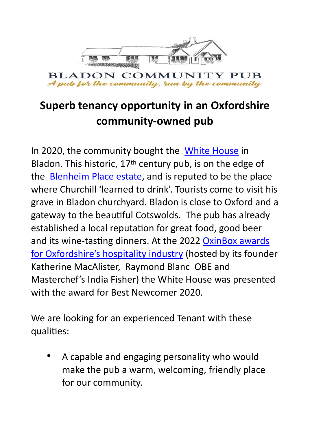

## **Superb tenancy opportunity in an Oxfordshire community-owned pub**

In 2020, the community bought the [White House](https://www.bladonwhitehouse.co.uk/) in Bladon. This historic, 17<sup>th</sup> century pub, is on the edge of the **Blenheim Place estate**, and is reputed to be the place where Churchill 'learned to drink'. Tourists come to visit his grave in Bladon churchyard. Bladon is close to Oxford and a gateway to the beautiful Cotswolds. The pub has already established a local reputation for great food, good beer and its wine-tasting dinners. At the 2022 OxinBox awards [for Oxfordshire's hospitality industry](https://www.oxinabox.co.uk/awards-fever-epic-celebrations-at-the-ox-in-a-box-food-awards-2022-as-winners-announced/) (hosted by its founder Katherine MacAlister, Raymond Blanc OBE and Masterchef's India Fisher) the White House was presented with the award for Best Newcomer 2020.

We are looking for an experienced Tenant with these qualities:

• A capable and engaging personality who would make the pub a warm, welcoming, friendly place for our community.